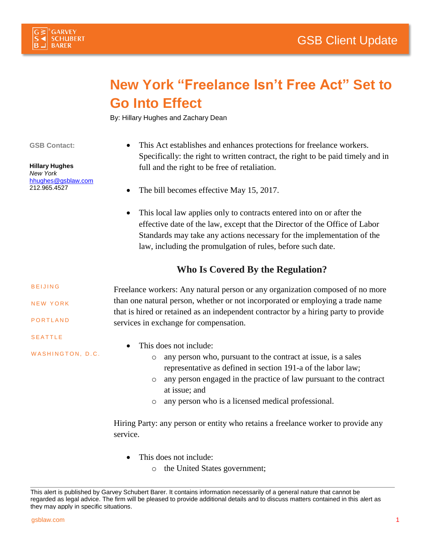



## **New York "Freelance Isn't Free Act" Set to Go Into Effect**

By: Hillary Hughes and Zachary Dean

**GSB Contact:**

**Hillary Hughes** *New York* [hhughes@gsblaw.com](mailto:hhughes@gsblaw.com) 212.965.4527

- This Act establishes and enhances protections for freelance workers. Specifically: the right to written contract, the right to be paid timely and in full and the right to be free of retaliation.
- The bill becomes effective May 15, 2017.
- This local law applies only to contracts entered into on or after the effective date of the law, except that the Director of the Office of Labor Standards may take any actions necessary for the implementation of the law, including the promulgation of rules, before such date.

## **Who Is Covered By the Regulation?**

Freelance workers: Any natural person or any organization composed of no more than one natural person, whether or not incorporated or employing a trade name that is hired or retained as an independent contractor by a hiring party to provide services in exchange for compensation. **BEIJING** NEW YORK **PORTLAND** S E A T T L E

- WASHINGTON, D.C.
- This does not include:
	- o any person who, pursuant to the contract at issue, is a sales representative as defined in section 191-a of the labor law;
	- o any person engaged in the practice of law pursuant to the contract at issue; and
	- o any person who is a licensed medical professional.

Hiring Party: any person or entity who retains a freelance worker to provide any service.

- This does not include:
	- o the United States government;

This alert is published by Garvey Schubert Barer. It contains information necessarily of a general nature that cannot be regarded as legal advice. The firm will be pleased to provide additional details and to discuss matters contained in this alert as they may apply in specific situations.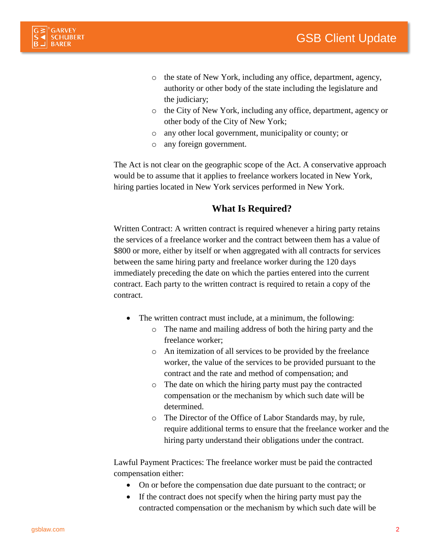

- o the state of New York, including any office, department, agency, authority or other body of the state including the legislature and the judiciary;
- o the City of New York, including any office, department, agency or other body of the City of New York;
- o any other local government, municipality or county; or
- o any foreign government.

The Act is not clear on the geographic scope of the Act. A conservative approach would be to assume that it applies to freelance workers located in New York, hiring parties located in New York services performed in New York.

## **What Is Required?**

Written Contract: A written contract is required whenever a hiring party retains the services of a freelance worker and the contract between them has a value of \$800 or more, either by itself or when aggregated with all contracts for services between the same hiring party and freelance worker during the 120 days immediately preceding the date on which the parties entered into the current contract. Each party to the written contract is required to retain a copy of the contract.

- The written contract must include, at a minimum, the following:
	- o The name and mailing address of both the hiring party and the freelance worker;
	- o An itemization of all services to be provided by the freelance worker, the value of the services to be provided pursuant to the contract and the rate and method of compensation; and
	- o The date on which the hiring party must pay the contracted compensation or the mechanism by which such date will be determined.
	- o The Director of the Office of Labor Standards may, by rule, require additional terms to ensure that the freelance worker and the hiring party understand their obligations under the contract.

Lawful Payment Practices: The freelance worker must be paid the contracted compensation either:

- On or before the compensation due date pursuant to the contract; or
- If the contract does not specify when the hiring party must pay the contracted compensation or the mechanism by which such date will be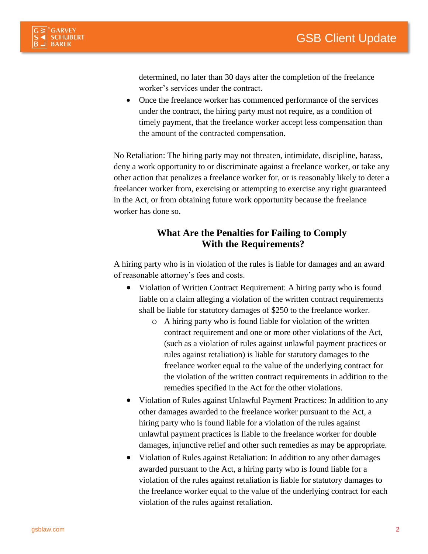

determined, no later than 30 days after the completion of the freelance worker's services under the contract.

 Once the freelance worker has commenced performance of the services under the contract, the hiring party must not require, as a condition of timely payment, that the freelance worker accept less compensation than the amount of the contracted compensation.

No Retaliation: The hiring party may not threaten, intimidate, discipline, harass, deny a work opportunity to or discriminate against a freelance worker, or take any other action that penalizes a freelance worker for, or is reasonably likely to deter a freelancer worker from, exercising or attempting to exercise any right guaranteed in the Act, or from obtaining future work opportunity because the freelance worker has done so.

## **What Are the Penalties for Failing to Comply With the Requirements?**

A hiring party who is in violation of the rules is liable for damages and an award of reasonable attorney's fees and costs.

- Violation of Written Contract Requirement: A hiring party who is found liable on a claim alleging a violation of the written contract requirements shall be liable for statutory damages of \$250 to the freelance worker.
	- o A hiring party who is found liable for violation of the written contract requirement and one or more other violations of the Act, (such as a violation of rules against unlawful payment practices or rules against retaliation) is liable for statutory damages to the freelance worker equal to the value of the underlying contract for the violation of the written contract requirements in addition to the remedies specified in the Act for the other violations.
- Violation of Rules against Unlawful Payment Practices: In addition to any other damages awarded to the freelance worker pursuant to the Act, a hiring party who is found liable for a violation of the rules against unlawful payment practices is liable to the freelance worker for double damages, injunctive relief and other such remedies as may be appropriate.
- Violation of Rules against Retaliation: In addition to any other damages awarded pursuant to the Act, a hiring party who is found liable for a violation of the rules against retaliation is liable for statutory damages to the freelance worker equal to the value of the underlying contract for each violation of the rules against retaliation.